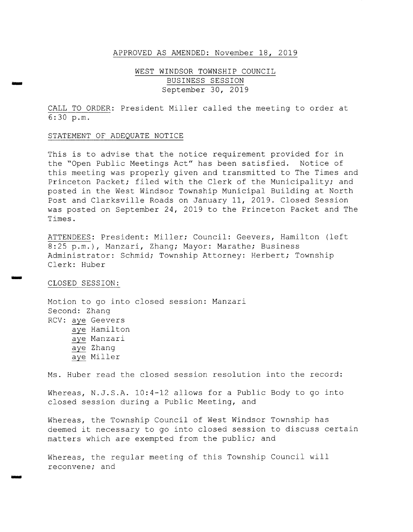### APPROVED AS AMENDED: November 18, 2019

### WEST WINDSOR TOWNSHIP COUNCIL BUSINESS SESSION September 30, 2019

CALL TO ORDER: President Miller called the meeting to order at 6: 30 p. m.

#### STATEMENT OF ADEQUATE NOTICE

This is to advise that the notice requirement provided for in the "Open Public Meetings Act" has been satisfied. Notice of this meeting was properly given and transmitted to The Times and Princeton Packet; filed with the Clerk of the Municipality; and posted in the West Windsor Township Municipal Building at North Post and Clarksville Roads on January 11, 2019. Closed Session was posted on September 24, 2019 to the Princeton Packet and The Times .

ATTENDEES: President: Miller; Council: Geevers, Hamilton (left 8:25 p.m.), Manzari, Zhang; Mayor: Marathe; Business Administrator: Schmid; Township Attorney: Herbert; Township Clerk: Huber

### CLOSED SESSION:

سن

Motion to go into closed session: Manzari Second: Zhang RCV: aye Geevers aye Hamilton aye Manzari aye Zhang aye Miller

Ms. Huber read the closed session resolution into the record:

Whereas, N.J.S.A. 10:4-12 allows for a Public Body to go into closed session during <sup>a</sup> Public Meeting, and

Whereas, the Township Council of West Windsor Township has deemed it necessary to go into closed session to discuss certain matters which are exempted from the public; and

Whereas, the regular meeting of this Township Council will reconvene; and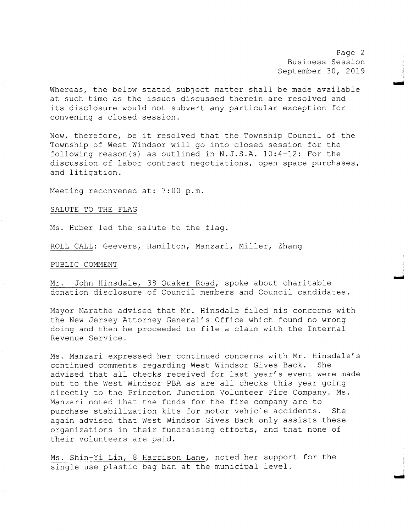Page 2 Business Session September 30, 2019

mow

mai

w

Whereas, the below stated subject matter shall be made available at such time as the issues discussed therein are resolved and its disclosure would not subvert any particular exception for convening <sup>a</sup> closed session.

Now, therefore, be it resolved that the Township Council of the Township of West Windsor will go into closed session for the following reason(s) as outlined in  $N.J.S.A. 10:4-12$ : For the discussion of labor contract negotiations, open space purchases, and litigation.

Meeting reconvened at: 7:00 p.m.

SALUTE TO THE FLAG

Ms. Huber led the salute to the flag.

ROLL CALL: Geevers, Hamilton, Manzari, Miller, Zhang

PUBLIC COMMENT

Mr. John Hinsdale, <sup>38</sup> Quaker Road, spoke about charitable donation disclosure of Council members and Council candidates .

Mayor Marathe advised that Mr. Hinsdale filed his concerns with the New Jersey Attorney General's Office which found no wrong doing and then he proceeded to file <sup>a</sup> claim with the Internal Revenue Service .

Ms. Manzari expressed her continued concerns with Mr. Hinsdale's continued comments regarding West Windsor Gives Back. She advised that all checks received for last year's event were made out to the West Windsor PBA as are all checks this year going directly to the Princeton Junction Volunteer Fire Company. Ms . Manzari noted that the funds for the fire company are to purchase stabilization kits for motor vehicle accidents. She again advised that West Windsor Gives Back only assists these organizations in their fundraising efforts, and that none of their volunteers are paid.

Ms. Shin-Yi Lin, 8 Harrison Lane, noted her support for the single use plastic bag ban at the municipal level .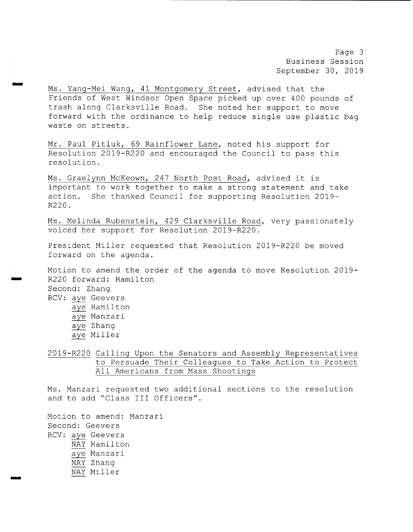Page 3 Business Session September 30, 2019

Ms. Yang-Mei Wang, 41 Montgomery Street, advised that the Friends of West Windsor Open Space picked up over 400 pounds of trash along Clarksville Road. She noted her support to move forward with the ordinance to help reduce single use plastic bag waste on streets .

Mr. Paul Pitluk, 69 Rainflower Lane, noted his support for Resolution 2019-R220 and encouraged the Council to pass this resolution.

Ms. Graelynn McKeown, 247 North Post Road, advised it is important to work together to make <sup>a</sup> strong statement and take action. She thanked Council for supporting Resolution 2019- R220 .

Ms. Melinda Rubenstein, 429 Clarksville Road, very passionately voiced her support for Resolution 2019-R220.

President Miller requested that Resolution 2019-R220 be moved forward on the agenda .

Motion to amend the order of the agenda to move Resolution 2019- R220 forward: Hamilton Second: Zhang RCV: aye Geevers aye Hamilton aye Manzari aye Zhang aye Miller

2019- R220 Calling Upon the Senators and Assembly Representatives to Persuade Their Colleagues to Take Action to Protect All Americans from Mass Shootings

Ms. Manzari requested two additional sections to the resolution and to add "Class III Officers".

Motion to amend: Manzari Second: Geevers RCV: aye Geevers NAY Hamilton aye Manzari NAY Zhang NAY Miller

mow

i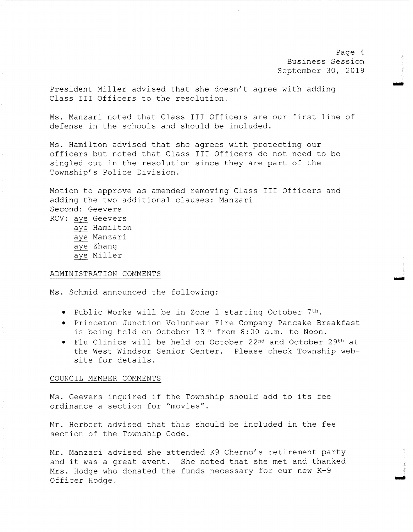Page <sup>4</sup> Business Session September 30, 2019

تقسيم

تسب

woo

President Miller advised that she doesn't agree with adding Class III Officers to the resolution.

Ms . Manzari noted that Class III Officers are our first line of defense in the schools and should be included.

Ms. Hamilton advised that she agrees with protecting our officers but noted that Class III Officers do not need to be singled out in the resolution since they are part of the Township's Police Division.

Motion to approve as amended removing Class III Officers and adding the two additional clauses: Manzari Second: Geevers RCV: aye Geevers aye Hamilton aye Manzari aye Zhang aye Miller

### ADMINISTRATION COMMENTS

Ms. Schmid announced the following:

- Public Works will be in Zone 1 starting October 7th.
- Princeton Junction Volunteer Fire Company Pancake Breakfast is being held on October 13th from 8 : 00 a. m. to Noon.
- Flu Clinics will be held on October 22nd and October 29th at the West Windsor Senior Center. Please check Township website for details.

### COUNCIL MEMBER COMMENTS

Ms . Geevers inquired if the Township should add to its fee ordinance a section for "movies".

Mr. Herbert advised that this should be included in the fee section of the Township Code .

Mr. Manzari advised she attended K9 Cherno's retirement party and it was a great event. She noted that she met and thanked Mrs. Hodge who donated the funds necessary for our new  $K-9$ Officer Hodge .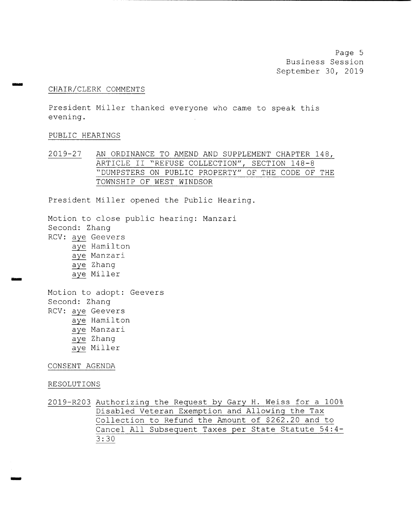Page 5 Business Session September 30, 2019

### CHAIR/ CLERK COMMENTS

President Miller thanked everyone who came to speak this evening.

### PUBLIC HEARINGS

يبيعن

aim

2019-27 AN ORDINANCE TO AMEND AND SUPPLEMENT CHAPTER 148, ARTICLE II "REFUSE COLLECTION", SECTION 148-8 DUMPSTERS ON PUBLIC PROPERTY" OF THE CODE OF THE TOWNSHIP OF WEST WINDSOR

President Miller opened the Public Hearing.

Motion to close public hearing: Manzari Second: Zhang RCV: aye Geevers aye Hamilton aye Manzari aye Zhang aye Miller Motion to adopt: Geevers Second: Zhang RCV: aye Geevers aye Hamilton aye Manzari aye Zhang aye Miller CONSENT AGENDA RESOLUTIONS

2019-R203 Authorizing the Request by Gary H. Weiss for a 100% Disabled Veteran Exemption and Allowing the Tax Collection to Refund the Amount of \$262 . 20 and to Cancel All Subsequent Taxes per State Statute 54 : 4- 3 : 30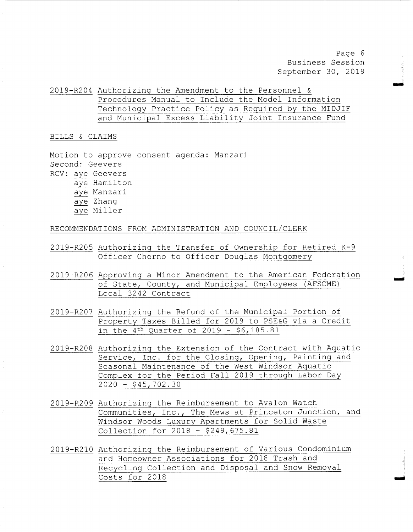Page 6 Business Session September 30, 2019

2019- R204 Authorizing the Amendment to the Personnel & Procedures Manual to Include the Model Information Technology Practice Policy as Required by the MIDJIF and Municipal Excess Liability Joint Insurance Fund

### BILLS & CLAIMS

Motion to approve consent agenda: Manzari Second: Geevers RCV: aye Geevers aye Hamilton aye Manzari aye Zhang aye Miller

RECOMMENDATIONS FROM ADMINISTRATION AND COUNCIL/CLERK

- 2019-R205 Authorizing the Transfer of Ownership for Retired  $K-9$ Officer Cherno to Officer Douglas Montgomery
- 2019- R206 Approving <sup>a</sup> Minor Amendment to the American Federation of State, County, and Municipal Employees ( AFSCME) Local 3242 Contract
- 2019-R207 Authorizing the Refund of the Municipal Portion of Property Taxes Billed for 2019 to PSE&G via a Credit in the  $4^{th}$  Quarter of 2019 - \$6,185.81
- 2019- R208 Authorizing the Extension of the Contract with Aquatic Service, Inc. for the Closing, Opening, Painting and Seasonal Maintenance of the West Windsor Aquatic Complex for the Period Fall 2019 through Labor Day  $2020 - $45,702.30$
- 2019- R209 Authorizing the Reimbursement to Avalon Watch Communities, Inc., The Mews at Princeton Junction, and Windsor Woods Luxury Apartments for Solid Waste Collection for 2018 - \$249,675.81
- 2019- R210 Authorizing the Reimbursement of Various Condominium and Homeowner Associations for 2018 Trash and Recycling Collection and Disposal and Snow Removal  $Costs$  for 2018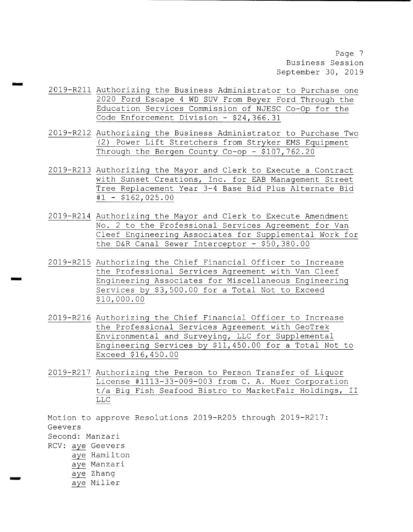Page 7 Business Session September 30, 2019

2019- R211 Authorizing the Business Administrator to Purchase one 2020 Ford Escape <sup>4</sup> WD SUV From Beyer Ford Through the Education Services Commission of NJESC Co-Op for the Code Enforcement Division - \$24,366.31

mow

m...

- 2019- R212 Authorizing the Business Administrator to Purchase Two 2) Power Lift Stretchers from Stryker EMS Equipment Through the Bergen County Co-op -  $$107,762.20$
- 2019- R213 Authorizing the Mayor and Clerk to Execute <sup>a</sup> Contract with Sunset Creations, Inc. for EAB Management Street Tree Replacement Year 3-4 Base Bid Plus Alternate Bid  $#1 - $162,025.00$
- 2019- R214 Authorizing the Mayor and Clerk to Execute Amendment No. <sup>2</sup> to the Professional Services Agreement for Van Cleef Engineering Associates for Supplemental Work for the D&R Canal Sewer Interceptor -  $$50,380.00$
- 2019- R215 Authorizing the Chief Financial Officer to Increase the Professional Services Agreement with Van Cleef Engineering Associates for Miscellaneous Engineering Services by \$3,500.00 for a Total Not to Exceed 10, 000 . 00
- 2019- R216 Authorizing the Chief Financial Officer to Increase the Professional Services Agreement with GeoTrek Environmental and Surveying, LLC for Supplemental Engineering Services by \$11,450.00 for a Total Not to Exceed \$16,450.00
- 2019- R217 Authorizing the Person to Person Transfer of Liquor License #1113-33-009-003 from C. A. Muer Corporation t/a Big Fish Seafood Bistro to MarketFair Holdings, II LLC

Motion to approve Resolutions 2019-R205 through 2019-R217: Geevers Second: Manzari RCV: aye Geevers aye Hamilton aye Manzari aye Zhang aye Miller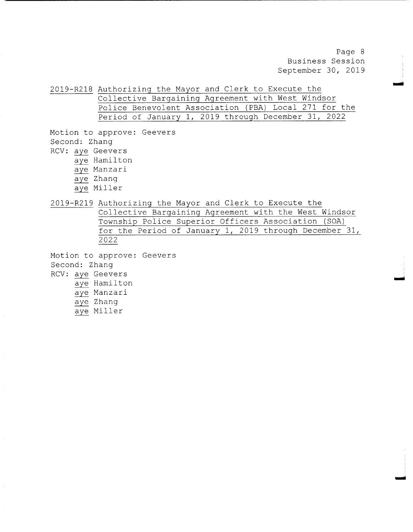Page <sup>8</sup> Business Session September 30, 2019

NMI

awl

2019- R218 Authorizing the Mayor and Clerk to Execute the Collective Bargaining Agreement with West Windsor Police Benevolent Association (PBA) Local 271 for the Period of January 1, 2019 through December 31, 2022

- Motion to approve: Geevers Second: Zhang RCV: aye Geevers aye Hamilton
	- aye Manzari
	- aye Zhang
	- aye Miller

2019- R219 Authorizing the Mayor and Clerk to Execute the

Collective Bargaining Agreement with the West Windsor Township Police Superior Officers Association ( SOA) for the Period of January 1, 2019 through December 31, 2022

Motion to approve: Geevers Second: Zhang RCV: aye Geevers aye Hamilton aye Manzari aye Zhang

aye Miller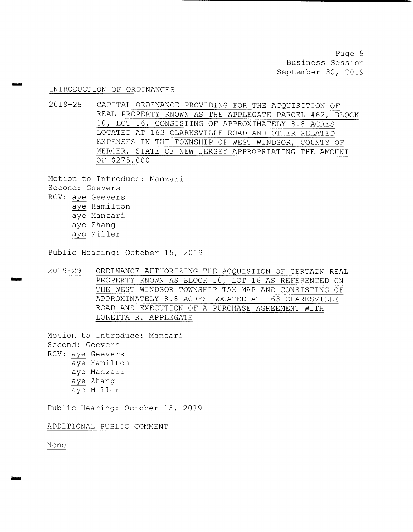Page 9 Business Session September 30, 2019

### INTRODUCTION OF ORDINANCES

dim

2019-28 CAPITAL ORDINANCE PROVIDING FOR THE ACQUISITION OF REAL PROPERTY KNOWN AS THE APPLEGATE PARCEL #62, BLOCK 10, LOT 16, CONSISTING OF APPROXIMATELY 8 . 8 ACRES LOCATED AT 163 CLARKSVILLE ROAD AND OTHER RELATED EXPENSES IN THE TOWNSHIP OF WEST WINDSOR, COUNTY OF MERCER, STATE OF NEW JERSEY APPROPRIATING THE AMOUNT OF \$ 275, 000

Motion to Introduce: Manzari Second: Geevers RCV: aye Geevers aye Hamilton aye Manzari aye Zhang aye Miller

Public Hearing: October 15, 2019

2019-29 ORDINANCE AUTHORIZING THE ACQUISTION OF CERTAIN REAL PROPERTY KNOWN AS BLOCK 10, LOT 16 AS REFERENCED ON THE WEST WINDSOR TOWNSHIP TAX MAP AND CONSISTING OF APPROXIMATELY 8 . 8 ACRES LOCATED AT 163 CLARKSVILLE ROAD AND EXECUTION OF A PURCHASE AGREEMENT WITH LORETTA R. APPLEGATE

Motion to Introduce: Manzari Second: Geevers RCV: aye Geevers aye Hamilton aye Manzari aye Zhang aye Miller

Public Hearing: October 15, 2019

ADDITIONAL PUBLIC COMMENT

None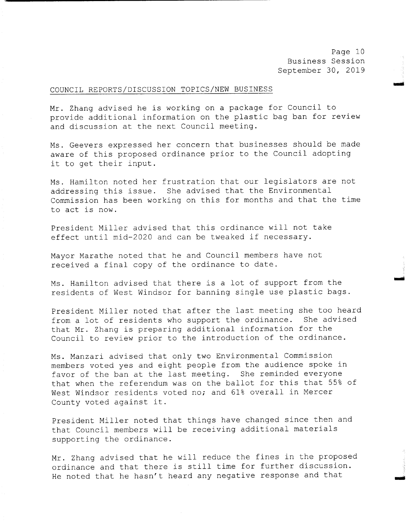Page 10 Business Session September 30, 2019

owl

w

### COUNCIL REPORTS/ DISCUSSION TOPICS/ NEW BUSINESS

Mr. Zhang advised he is working on <sup>a</sup> package for Council to provide additional information on the plastic bag ban for review and discussion at the next Council meeting.

Ms . Geevers expressed her concern that businesses should be made aware of this proposed ordinance prior to the Council adopting it to get their input.

Ms. Hamilton noted her frustration that our legislators are not addressing this issue. She advised that the Environmental Commission has been working on this for months and that the time to act is now.

President Miller advised that this ordinance will not take effect until mid-2020 and can be tweaked if necessary.

Mayor Marathe noted that he and Council members have not received <sup>a</sup> final copy of the ordinance to date .

Ms. Hamilton advised that there is a lot of support from the residents of West Windsor for banning single use plastic bags .

President Miller noted that after the last meeting she too heard<br>from a lot of residents who support the ordinance. She advised from a lot of residents who support the ordinance. that Mr. Zhang is preparing additional information for the Council to review prior to the introduction of the ordinance.

Ms . Manzari advised that only two Environmental Commission members voted yes and eight people from the audience spoke in favor of the ban at the last meeting. She reminded everyone that when the referendum was on the ballot for this that 55% of West Windsor residents voted no; and 61% overall in Mercer County voted against it .

President Miller noted that things have changed since then and that Council members will be receiving additional materials supporting the ordinance .

Mr. Zhang advised that he will reduce the fines in the proposed ordinance and that there is still time for further discussion. He noted that he hasn't heard any negative response and that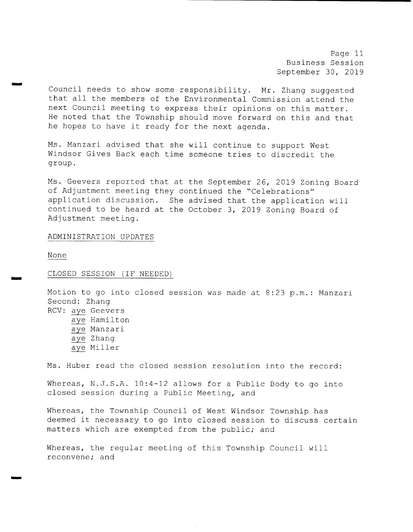Page 11 Business Session September 30, 2019

Council needs to show some responsibility. Mr. Zhang suggested that all the members of the Environmental Commission attend the next Council meeting to express their opinions on this matter. He noted that the Township should move forward on this and that he hopes to have it ready for the next agenda.

Ms. Manzari advised that she will continue to support West Windsor Gives Back each time someone tries to discredit the group.

Ms . Geevers reported that at the September 26, 2019 Zoning Board of Adjustment meeting they continued the "Celebrations" application discussion. She advised that the application will continued to be heard at the October 3, <sup>2019</sup> Zoning Board of Adjustment meeting.

### ADMINISTRATION UPDATES

None

imigo

now

### CLOSED SESSION ( IF NEEDED)

Motion to go into closed session was made at 8:23 p.m.: Manzari Second: Zhang RCV: aye Geevers aye Hamilton aye Manzari aye Zhang aye Miller Ms. Huber read the closed session resolution into the record:

Whereas, N.J.S.A.  $10:4-12$  allows for a Public Body to go into closed session during <sup>a</sup> Public Meeting, and

Whereas, the Township Council of West Windsor Township has deemed it necessary to go into closed session to discuss certain matters which are exempted from the public; and

Whereas, the regular meeting of this Township Council will reconvene; and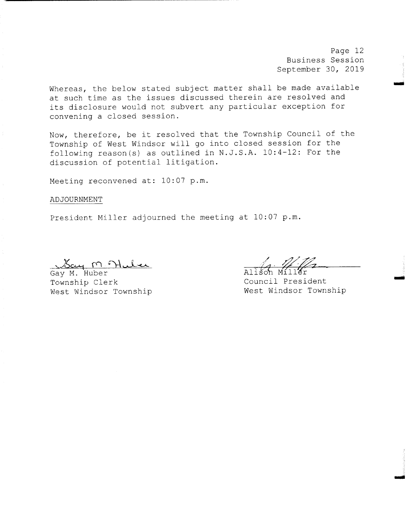Page 12 Business Session September 30, 2019

Imo

woo

rig

Whereas, the below stated subject matter shall be made available at such time as the issues discussed therein are resolved and its disclosure would not subvert any particular exception for convening <sup>a</sup> closed session.

Now, therefore, be it resolved that the Township Council of the Township of West Windsor will go into closed session for the following reason (s) as outlined in N.J.S.A. 10:4-12: For the discussion of potential litigation.

Meeting reconvened at: 10:07 p.m.

ADJOURNMENT

President Miller adjourned the meeting at 10:07 p.m.

<u>Say M Muler</u><br>Gay M. Huber<br>Township Clerk West Windsor Township

Council President<br>West Windsor Township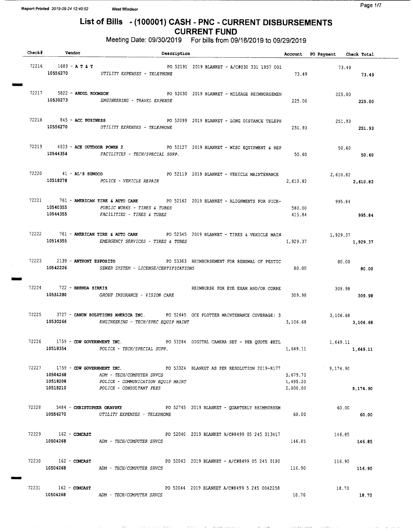IMMO

MIMS

Meg

## List of Bills - (100001) CASH - PNC - CURRENT DISBURSEMENTS CURRENT FUND

Meeting Date: 09/30/2019 For bills from 09/16/2019 to 09/29/2019

| Check# Vendor                         | Description                                                                                                                                                                                             |                                  | Account PO Payment Check Total |                  |
|---------------------------------------|---------------------------------------------------------------------------------------------------------------------------------------------------------------------------------------------------------|----------------------------------|--------------------------------|------------------|
| 72216 1689 – A T & T                  | PO 52191 2019 BLANKET - A/C#030 331 1957 001<br>10556270 UTILITY EXPENSES - TELEPHONE                                                                                                                   |                                  | 73.49<br>73.49 73.49           |                  |
|                                       | 72217 5822 - ABDUL KOOMSON 600 PO 52030 2019 BLANKET - MILEAGE REIMBURSEMEN<br>10530273 ENGINEERING - TRAVEL EXPENSE                                                                                    | 225.00                           |                                | 225.00<br>225.00 |
|                                       | 72218 845 - ACC BUSINESS 845 FO 52099 2019 BLANKET - LONG DISTANCE TELEPH<br>10556270 UTILITY EXPENSES - TELEPHONE                                                                                      | 251.93                           | 251.93                         | 251.93           |
|                                       | 72219 4033 - ACE OUTDOOR POWER 2 PO 52127 2019 BLANKET - MISC EQUIPMENT & REP<br>10544354 FACILITIES - TECH/SPECIAL SUPP.                                                                               | 50.60                            | 50.60<br>50.60                 |                  |
|                                       | 72220 41 - AL'S SUNOCO PO 52119 2019 BLANKET - VEHICLE MAINTENANCE<br>10518278 POLICE - VEHICLE REPAIR                                                                                                  | 2,610.82                         | 2,610.82<br>2,610.82           |                  |
| 10544355                              | 72221 761 - AMERICAN TIRE & AUTO CARE PO 52162 2019 BLANKET - ALIGNMENTS FOR PICK-<br>995.84<br>10540355 PUBLIC WORKS - TIRES & TUBES<br>FACILITIES - TIRES & TUBES                                     | 580.00                           | 415.84<br>995.84               |                  |
|                                       | 72222 761 - AMERICAN TIRE & AUTO CARE PO 52345 2019 BLANKET - TIRES & VEHICLE MAIN<br>10514355 EMERGENCY SERVICES - TIRES & TUBES                                                                       | 1,929.37                         | 1,929.37                       | 1,929.37         |
| 72223 2139 - ANTHONY ESPOSITO         | PO 53363 REIMBURSEMENT FOR RENEWAL OF PESTIC<br>10542226 SEWER SYSTEM - LICENSE/CERTIFICATIONS                                                                                                          | 80.00                            | 80.00<br>80.00                 |                  |
| 72224 722 - BRENDA SIRKIS<br>10551280 | REIMBURSE FOR EYE EXAM AND/OR CORRE<br>GROUP INSURANCE - VISION CARE                                                                                                                                    | 309.98                           |                                | 309.98<br>309.98 |
| 10530266                              | 72225 3727 - CANON SOLUTIONS AMERICA INC. PO 52645 OCE PLOTTER MAINTENANCE COVERAGE: 3<br>ENGINEERING - TECH/SPEC EQUIP MAINT                                                                           | 3,106.68                         | 3,106.68                       | 3,106.68         |
| 10518354                              | 72226 1759 - CDW GOVERNMENT INC. PO 53284 DIGITAL CAMERA SET - PER QUOTE #KTL 1,649.11<br>POLICE - TECH/SPECIAL SUPP.                                                                                   | 1,649.11                         |                                | 1,649.11         |
| 10518210                              | 72227 1759 - CDW GOVERNMENT INC. PO 53324 BLANKET AS PER RESOLUTION 2019-R177 9,174.90<br>10504268 ADM - TECH/COMPUTER SRVCS<br>10518208 POLICE - COMMUNICATION EQUIP MAINT<br>POLICE - CONSULTANT FEES | 5,679.70<br>1,495.20<br>2,000.00 |                                | 9,174.90         |
|                                       | 72228 5484 - CHRISTOPHER ORAVSKY 6 PO 52745 2019 BLANKET - QUARTERLY REIMBURSEM<br>10556270 UTILITY EXPENSES - TELEPHONE                                                                                | 60.00                            | 60.00                          | 60.00            |
| 72229 162 - COMCAST                   | PO 52040 2019 BLANKET A/C#8499 05 245 013417<br>10504268 ADM - TECH/COMPUTER SRVCS                                                                                                                      | 146.85                           | 146.85                         | 146.85           |
| 72230 162 - COMCAST                   | PO 52043 2019 BLANKET - A/C#8499 05 245 0180<br>10504268 ADM - TECH/COMPUTER SRVCS                                                                                                                      | 116.90                           | 116.90                         | 116.90           |
| $72231$ $162 - COMCAST$               | PO 52044 2019 BLANKET A/C#8499 5 245 0042258<br>10504268 ADM - TECH/COMPUTER SRVCS                                                                                                                      | 18.70                            | 18.70                          | 18.70            |

بسجوس الروادي يرديهم ووالدار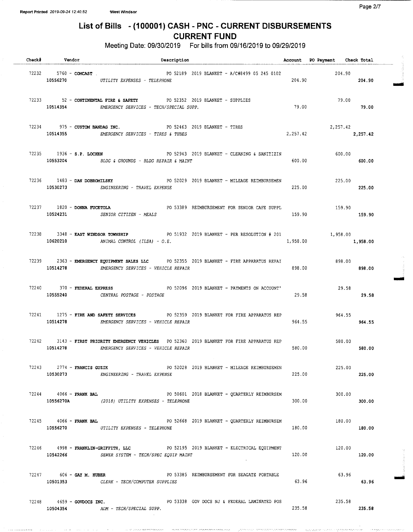## List of Bills - ( 100001) CASH - PNC - CURRENT DISBURSEMENTS CURRENT FUND

Meeting Date: 09/30/2019 For bills from 09/16/2019 to 09/29/2019

| Check# Vendor                  | Description                                                                                                                             |                                                        | Account PO Payment Check Total  |          |
|--------------------------------|-----------------------------------------------------------------------------------------------------------------------------------------|--------------------------------------------------------|---------------------------------|----------|
| 72232 5760 - COMCAST.          | PO 52189 2019 BLANKET - A/C#8499 05 245 0102<br>10556270 UTILITY EXPENSES - TELEPHONE                                                   | 204.90                                                 | 204.90                          | 204.90   |
|                                | 72233 52 - CONTINENTAL FIRE & SAFETY 6 PO 52352 2019 BLANKET - SUPPLIES<br>10514354 EMERGENCY SERVICES - TECH/SPECIAL SUPP.             | 79.00                                                  | 79.00                           | 79.00    |
|                                | 72234 975 - CUSTOM BANDAG INC. THE PO 52463 2019 BLANKET - TIRES<br>10514355 EMERGENCY SERVICES - TIRES & TUBES                         |                                                        | 2,257.42<br>2, 257.42 2, 257.42 |          |
|                                | 72235 1936 - S.P. LOCHEN PO 52943 2019 BLANKET - CLEANING & SANITIZIN<br>10553204 BLDG & GROUNDS - BLDG REPAIR & MAINT                  | 600.00                                                 | 600.00                          | 600.00   |
|                                | 72236 1483 - DAN DOBROMILSKY PO 52029 2019 BLANKET - MILEAGE REIMBURSEMEN<br>10530273 ENGINEERING - TRAVEL EXPENSE                      |                                                        | 225.00<br>225.00                | 225.00   |
| 72237 1820 - DONNA FUCETOLA    | PO 53389 REIMBURSEMENT FOR SENIOR CAFE SUPPL<br>10524231 SENIOR CITIZEN - MEALS                                                         | 159.90                                                 | 159.90<br>159.90                |          |
| 10620210                       | 72238 3348 - EAST WINDSOR TOWNSHIP 60 51932 2019 BLANKET - PER RESOLUTION # 201<br>ANIMAL CONTROL (ILSA) - O.E.                         | 1,958.00                                               | 1,958.00                        | 1,958.00 |
|                                | 72239 2363 - EMERGENCY EQUIPMENT SALES LLC PO 52355 2019 BLANKET - FIRE APPARATUS REPAI<br>10514278 EMERGENCY SERVICES - VEHICLE REPAIR |                                                        | 898.00<br>898.00                | 898.00   |
|                                | 72240 370 - FEDERAL EXPRESS 6 80 2096 2019 BLANKET - PAYMENTS ON ACCOUNT'<br>10555240 CENTRAL POSTAGE - POSTAGE                         | 29.58                                                  | 29.58<br>29.58                  |          |
| 10514278                       | 72241 1275 - FIRE AND SAFETY SERVICES PO 52359 2019 BLANKET FOR FIRE APPARATUS REP<br>EMERGENCY SERVICES - VEHICLE REPAIR               |                                                        | 964.55<br>964.55<br>964.55      |          |
| 10514278                       | 72242 3143 - FIRST PRIORITY EMERGENCY VEHICLES PO 52360 2019 BLANKET FOR FIRE APPARATUS REP<br>EMERGENCY SERVICES - VEHICLE REPAIR      |                                                        | 580.00                          | 580.00   |
| $72243$ $2774$ - FRANCIS GUZIK | PO 52028 2019 BLANKET - MILEAGE REIMBURSEMEN<br>10530273 ENGINEERING - TRAVEL EXPENSE                                                   | 225.00                                                 | 225.00                          | 225.00   |
| $72244$ $4066 -$ FRANK BAL     | PO 50601 2018 BLANKET - QUARTERLY REIMBURSEM<br>10556270A (2018) UTILITY EXPENSES - TELEPHONE                                           | 300.00                                                 | 300.00                          | 300.00   |
| 72245 4066 - FRANK BAL         | 10556270 UTILITY EXPENSES - TELEPHONE                                                                                                   | PO 52668 2019 BLANKET - OUARTERLY REIMBURSEM           | 180.00<br>180.00                | 180.00   |
|                                | 72246 4998 - FRANKLIN-GRIFFITH, LLC 60 PO 52195 2019 BLANKET - ELECTRICAL EQUIPMENT<br>10542266 SEWER SYSTEM - TECH/SPEC EQUIP MAINT    | 120.00                                                 | 120.00                          | 120.00   |
| 72247 606 - GAY M. HUBER       | PO 53385 REIMBURSEMENT FOR SEAGATE PORTABLE<br>10501353 CLERK - TECH/COMPUTER SUPPLIES                                                  |                                                        | 63.96<br>63.96                  | 63.96    |
| $72248$ $4659$ - GOVDOCS INC.  | 10504354 ADM - TECH/SPECIAL SUPP.                                                                                                       | PO 53338 GOV DOCS NJ & FEDERAL LAMINATED POS<br>235.58 | 235.58                          | 235.58   |

immit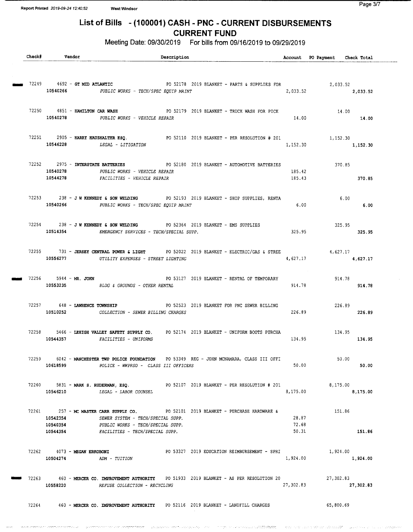# List of Bills - (100001) CASH - PNC - CURRENT DISBURSEMENTS

CURRENT FUND

Meeting Date: 09/30/2019 For bills from 09/16/2019 to 09/29/2019

| Check# | Vendor                            |                                                                                       | Description |                                                                                              |           | Account PO Payment Check Total |           |  |
|--------|-----------------------------------|---------------------------------------------------------------------------------------|-------------|----------------------------------------------------------------------------------------------|-----------|--------------------------------|-----------|--|
|        |                                   |                                                                                       |             |                                                                                              |           |                                |           |  |
|        |                                   |                                                                                       |             |                                                                                              |           |                                |           |  |
|        |                                   |                                                                                       |             |                                                                                              |           |                                |           |  |
|        |                                   | 10540266 PUBLIC WORKS - TECH/SPEC EQUIP MAINT                                         |             |                                                                                              |           | 2,033.52 2,033.52              |           |  |
|        |                                   |                                                                                       |             |                                                                                              |           |                                |           |  |
|        |                                   |                                                                                       |             | 72250 4851 - HAMILTON CAR WASH <b>PO 52179 2019 BLANKET - TRUCK WASH FOR PICK</b>            |           | 14.00                          |           |  |
|        |                                   | 10540278 PUBLIC WORKS - VEHICLE REPAIR                                                |             |                                                                                              | 14.00     |                                | 14.00     |  |
|        |                                   |                                                                                       |             |                                                                                              |           |                                |           |  |
|        |                                   |                                                                                       |             | 72251 2905 - HARRY HAUSHALTER ESQ. PO 52110 2019 BLANKET - PER RESOLUTION # 201              |           | 1,152.30                       |           |  |
|        |                                   | 10546228 LEGAL - LITIGATION                                                           |             |                                                                                              | 1,152.30  |                                | 1,152.30  |  |
|        |                                   |                                                                                       |             |                                                                                              |           |                                |           |  |
|        | 72252 2975 - INTERSTATE BATTERIES |                                                                                       |             | PO 52180 2019 BLANKET - AUTOMOTIVE BATTERIES                                                 |           |                                | 370.85    |  |
|        | 10540278                          | PUBLIC WORKS - VEHICLE REPAIR                                                         |             |                                                                                              | 185.42    |                                |           |  |
|        | 10544278                          | FACILITIES - VEHICLE REPAIR                                                           |             |                                                                                              | 185.43    |                                | 370.85    |  |
|        |                                   |                                                                                       |             |                                                                                              |           |                                |           |  |
|        |                                   |                                                                                       |             | 72253 238 - JW KENNEDY & SON WELDING PO 52193 2019 BLANKET - SHOP SUPPLIES, RENTA            |           | 6.00                           |           |  |
|        |                                   | 10540266 PUBLIC WORKS - TECH/SPEC EQUIP MAINT                                         |             |                                                                                              | 6.00      |                                | 6.00      |  |
|        |                                   |                                                                                       |             |                                                                                              |           |                                |           |  |
|        |                                   |                                                                                       |             | $72254$ 238 - J W KENNEDY & SON WELDING PO 52364 2019 BLANKET - EMS SUPPLIES                 |           |                                | 325.95    |  |
|        |                                   | 10514354 EMERGENCY SERVICES - TECH/SPECIAL SUPP.                                      |             |                                                                                              | 325.95    |                                | 325.95    |  |
|        |                                   |                                                                                       |             |                                                                                              |           |                                |           |  |
|        |                                   |                                                                                       |             | 72255 731 - JERSEY CENTRAL POWER & LIGHT PO 52022 2019 BLANKET - ELECTRIC/GAS & STREE        |           |                                | 4,627,17  |  |
|        |                                   | 10556277 UTILITY EXPENSES - STREET LIGHTING                                           |             |                                                                                              | 4,627.17  |                                | 4,627.17  |  |
|        |                                   |                                                                                       |             |                                                                                              |           |                                |           |  |
|        | 72256 5944 - MR. JOHN             |                                                                                       |             | PO 53127 2019 BLANKET - RENTAL OF TEMPORARY                                                  |           | 914.78                         |           |  |
|        |                                   | 10553235 BLDG & GROUNDS - OTHER RENTAL                                                |             |                                                                                              | 914.78    | 914.78                         |           |  |
|        |                                   |                                                                                       |             |                                                                                              |           |                                |           |  |
|        |                                   |                                                                                       |             | 72257 648 - LAWRENCE TOWNSHIP <b>DESCRIPTION CONTROLS 2019 BLANKET FOR PNC SEWER BILLING</b> |           |                                | 226.89    |  |
|        | 10510252                          | COLLECTION - SEWER BILLING CHARGES                                                    |             |                                                                                              | 226.89    |                                | 226.89    |  |
|        |                                   |                                                                                       |             |                                                                                              |           |                                |           |  |
|        |                                   |                                                                                       |             | 72258 5466 - LEHIGH VALLEY SAFETY SUPPLY CO. PO 52174 2019 BLANKET - UNIFORM BOOTS PURCHA    |           | 134.95                         |           |  |
|        |                                   | 10544357 FACILITIES - UNIFORMS                                                        |             |                                                                                              | 134.95    |                                | 134.95    |  |
|        |                                   |                                                                                       |             |                                                                                              |           |                                |           |  |
| 72259  |                                   |                                                                                       |             | 6042 - MANCHESTER TWP POLICE FOUNDATION DO 53349 REG - JOHN MCNAMARA, CLASS III OFFI         |           | 50.00                          |           |  |
|        | 10618599                          | POLICE - WWPRSD - CLASS III OFFICERS                                                  |             |                                                                                              | 50.00     |                                | 50.00     |  |
|        |                                   |                                                                                       |             |                                                                                              |           |                                |           |  |
|        |                                   |                                                                                       |             | $72260$ 5831 - MARK S. RUDERMAN, ESQ. THE POS2107 2019 BLANKET - PER RESOLUTION # 201        |           | 8,175.00                       |           |  |
|        |                                   | 10546210 LEGAL - LABOR COUNSEL                                                        |             |                                                                                              | 8,175.00  |                                | 8,175.00  |  |
|        |                                   |                                                                                       |             |                                                                                              |           |                                |           |  |
|        | 10542354                          | SEWER SYSTEM - TECH/SPECIAL SUPP.                                                     |             | 72261 257 - MC MASTER CARR SUPPLY CO. PO 52101 2019 BLANKET - PURCHASE HARDWARE &            | 28.87     | 151.86                         |           |  |
|        | 10540354                          | PUBLIC WORKS - TECH/SPECIAL SUPP.                                                     |             |                                                                                              | 72.68     |                                |           |  |
|        | 10544354                          | FACILITIES - TECH/SPECIAL SUPP.                                                       |             |                                                                                              | 50.31     |                                | 151.86    |  |
|        |                                   |                                                                                       |             |                                                                                              |           |                                |           |  |
|        | 72262 4073 - MEGAN ERKOBONI       |                                                                                       |             | PO 53327 2019 EDUCATION REIMBURSEMENT - SPRI                                                 |           | 1,924.00                       |           |  |
|        | 10504274                          | ADM - TUITION                                                                         |             |                                                                                              | 1,924.00  | 1,924.00                       |           |  |
|        |                                   |                                                                                       |             |                                                                                              |           |                                |           |  |
|        |                                   |                                                                                       |             | 72263 460 - MERCER CO. IMPROVEMENT AUTHORITY PO 51933 2019 BLANKET - AS PER RESOLUTION 20    |           | 27,302.83                      |           |  |
|        | 10558220                          | REFUSE COLLECTION - RECYCLING                                                         |             |                                                                                              | 27,302.83 |                                | 27,302.83 |  |
|        |                                   |                                                                                       |             |                                                                                              |           |                                |           |  |
|        |                                   | 72264 460 - MERCER CO. IMPROVEMENT AUTHORITY PO 52116 2019 BLANKET - LANDFILL CHARGES |             |                                                                                              |           | 65,800.69                      |           |  |
|        |                                   |                                                                                       |             |                                                                                              |           |                                |           |  |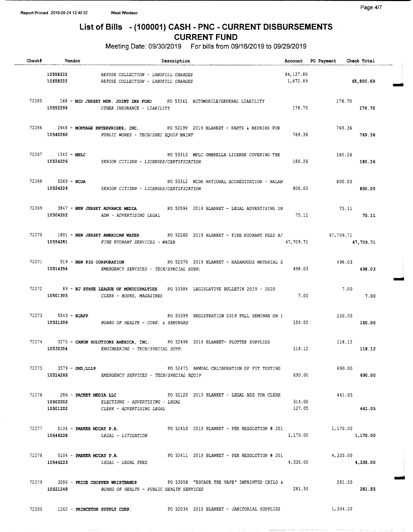## List of Bills - ( 100001) CASH - PNC - CURRENT DISBURSEMENTS CURRENT FUND

Meeting Date: 09/30/2019 For bills from 09/16/2019 to 09/29/2019

| Check# | Vendor                         | Description                                                                                                                                              |                       | Account PO Payment Check Total |           |
|--------|--------------------------------|----------------------------------------------------------------------------------------------------------------------------------------------------------|-----------------------|--------------------------------|-----------|
|        |                                | 10558222 REFUSE COLLECTION - LANDFILL CHARGES<br>10658222 REFUSE COLLECTION - LANDFILL CHARGES                                                           | 64.127.80<br>1,672.89 |                                | 65,800.69 |
|        |                                | 72265 168 - MID JERSEY MUN. JOINT INS FUND PO 53341 AUTOMOBILE/GENERAL LIABILITY<br>10552299 07HER INSURANCE - LIABILITY                                 |                       | 176.70                         | 176.70    |
|        |                                | 72266 2648 - MONTAGE ENTERPRISES, INC. PO 52199 2019 BLANKET - PARTS & REPAIRS FOR<br>10540266 PUBLIC WORKS - TECH/SPEC EQUIP MAINT                      | 769.36                | 769.36<br>769.36               |           |
|        |                                | 72267 1542 - MPLC 1522 1522 1622 1624 1622 163313 1622 162311 1628 1628 1629 1634 1632 1642 1643 164<br>10524226 SENIOR CITIZEN - LICENSES/CERTIFICATION | 180.26                | 180.26                         | 180.26    |
|        | 72268 5269 - NCOA              | PO 53312 NCOA NATIONAL ACCREDITATION - BALAN<br>10524226 SENIOR CITIZEN - LICENSES/CERTIFICATION                                                         | 800.00                | 800.00                         | 800.00    |
|        |                                | 72269 3847 - NEW JERSEY ADVANCE MEDIA PO 52094 2019 BLANKET - LEGAL ADVERTISING IN<br>10504202 ADM - ADVERTISING LEGAL                                   | 75.11                 | 75.11<br>75.11                 |           |
|        |                                | 72270 1801 - NEW JERSEY AMERICAN WATER PO 52260 2019 BLANKET - FIRE HYDRANT FEES A/ 47,709.71<br>10554281 FIRE HYDRANT SERVICES - WATER                  | 47,709.71             |                                | 47,709.71 |
|        |                                | 72271 519 - NEW PIG CORPORATION PO 52370 2019 BLANKET - HAZARDOUS MATERIAL S<br>10514354 EMERGENCY SERVICES - TECH/SPECIAL SUPP.                         | 498.03                | 498.03                         | 498.03    |
|        |                                | 72272 89 - NJ STATE LEAGUE OF MUNICIPALTIES PO 53384 LEGISLATIVE BULLETIN 2019 - 2020<br>10501305 CLERK - BOOKS, MAGAZINES                               | 7.00                  | 7.00<br>$\sim$ 7.00            |           |
|        |                                | 72273 5543 - NJAFP 6 2019 FO 53399 REGISTRATION 2019 FALL SEMINAR ON 1<br>10521209 BOARD OF HEALTH - CONF. & SEMINARS                                    | 150.00                | 150.00                         | 150.00    |
|        | 10530354                       | 72274 3275 - CANON SOLUTIONS AMERICA, INC. PO 52498 2019 BLANKET- PLOTTER SUPPLIES<br>ENGINEERING - TECH/SPECIAL SUPP.                                   | 118.12                | 118.12                         | 118.12    |
|        |                                | $72275$ $3579 - OHD, LLLP$<br>PO 52475 ANNUAL CALIBERATION OF FIT TESTING<br>10514266 EMERGENCY SERVICES - TECH/SPECIAL EQUIP                            | 690.00                | 690.00                         | 690.00    |
|        | 10502202                       | $72276$ 286 - PACKET MEDIA LLC<br>PO 52120 2019 BLANKET - LEGAL ADS FOR CLERK<br>ELECTIONS - ADVERTISING - LEGAL<br>10501202 CLERK - ADVERTISING LEGAL   | 314.00<br>127.05      | 441.05                         | 441.05    |
|        | 72277 5104 - PARKER MCCAY P.A. | PO 52410 2019 BLANKET - PER RESOLUTION # 201 1,170.00<br>10546228 LEGAL - LITIGATION                                                                     | 1,170.00              |                                | 1,170.00  |
|        | 72278 5104 - PARKER MCCAY P.A. | PO 52411 2019 BLANKET - PER RESOLUTION # 201<br>10546223 LEGAL - LEGAL FEES                                                                              | 4,335.00              | 4,335.00                       | 4,335.00  |
|        |                                | 72279 3286 - PRICE CHOPPER WRISTBANDS PO 53058 "ESCAPE THE VAPE" IMPRINTED CHILD &<br>10521248 BOARD OF HEALTH - PUBLIC HEALTH SERVICES                  | 281.55                | 281.55<br>281.55               |           |
|        |                                | 72280 1262 - PRINCETON SUPPLY CORP. PO 52034 2019 BLANKET - JANITORIAL SUPPLIES                                                                          |                       | 1,394.20                       |           |

Page 4/7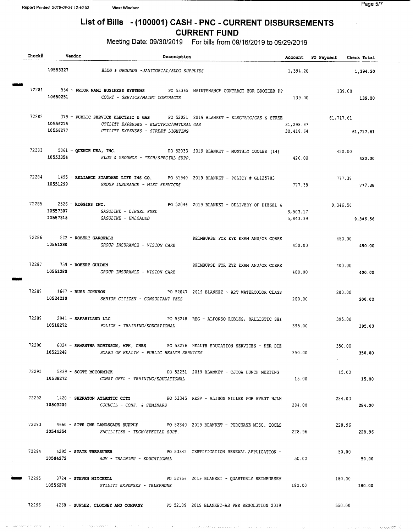**Service Service** 

este conditat in termination order of the

المصغط ويعودون والأرداء والأوارد ومملحتين

.<br>Server<del>ad</del>or

.<br>Statistički state i predset

## List of Bills - ( 100001) CASH - PNC - CURRENT DISBURSEMENTS

CURRENT FUND

Meeting Date: 09/30/2019 For bills from 09/16/2019 to 09/29/2019

|  | Check# Vendor                         | Description                                                                            |                                                                                                  |                         | Account PO Payment Check Total |           |
|--|---------------------------------------|----------------------------------------------------------------------------------------|--------------------------------------------------------------------------------------------------|-------------------------|--------------------------------|-----------|
|  |                                       | 10553327 BLDG & GROUNDS -JANITORIAL/BLDG SUPPLIES                                      |                                                                                                  |                         | 1,394.20                       | 1,394.20  |
|  | 10650251                              | COURT - SERVICE/MAINT CONTRACTS                                                        | 72281 554 - PRIOR NAMI BUSINESS SYSTEMS PO 53365 MAINTENANCE CONTRACT FOR BROTHER PP             | 139.00                  | 139.00<br>139.00               |           |
|  | 10556215                              | UTILITY EXPENSES - ELECTRIC/NATURAL GAS<br>10556277 UTILITY EXPENSES - STREET LIGHTING | 72282 379 - PUBLIC SERVICE ELECTRIC & GAS PO 52021 2019 BLANKET - ELECTRIC/GAS & STREE 61,717.61 | 31,298.97<br>30, 418.64 |                                | 61,717.61 |
|  |                                       | 10553354 BLDG & GROUNDS - TECH/SPECIAL SUPP.                                           | 72283 5061 - QUENCH USA, INC. PO 52033 2019 BLANKET - MONTHLY COOLER (14)                        | 420.00                  | 420.00<br>420.00               |           |
|  | 10551299                              | GROUP INSURANCE - MISC SERVICES                                                        | 72284 1495 - RELIANCE STANDARD LIFE INS CO. PO 51940 2019 BLANKET - POLICY # GL125783            | 777.38                  | 777.38<br>777.38               |           |
|  | 72285 2526 - RIGGINS INC.             | 10557307 GASOLINE - DIESEL FUEL<br>10557315 GASOLINE - UNLEADED                        | PO 52046 2019 BLANKET - DELIVERY OF DIESEL &                                                     | 3,503.17                | 9,346.56<br>5,843.39 9,346.56  |           |
|  | 72286 522 - ROBERT GAROFALO           | 10551280 GROUP INSURANCE - VISION CARE                                                 | REIMBURSE FOR EYE EXAM AND/OR CORRE                                                              | 450.00                  | 450.00                         | 450.00    |
|  | 72287 759 - ROBERT GULDEN             | 10551280 GROUP INSURANCE - VISION CARE                                                 | REIMBURSE FOR EYE EXAM AND/OR CORRE                                                              | 400.00                  | 400.00                         | 400.00    |
|  | 72288 1667 - RUSS JOHNSON<br>10524210 | SENIOR CITIZEN - CONSULTANT FEES                                                       | PO 52047 2019 BLANKET - ART WATERCOLOR CLASS                                                     | 200.00                  | 200.00                         | 200.00    |
|  |                                       | 10518272 POLICE - TRAINING/EDUCATIONAL                                                 | 72289 2941 - SAFARILAND LLC PO 53248 REG - ALFONSO ROBLES, BALLISTIC SHI                         | 395.00                  | 395.00                         | 395.00    |
|  |                                       | 10521248 BOARD OF HEALTH - PUBLIC HEALTH SERVICES                                      | 72290 6024 - SAMANTHA ROBINSON, MPH, CHES PO 53276 HEALTH EDUCATION SERVICES - PER DIE           |                         | 350.00<br>$350.00$ 350.00      |           |
|  |                                       | 10538272 CONST OFFL - TRAINING/EDUCATIONAL                                             | 72291 5839 - SCOTT MCCORMICK PO 52251 2019 BLANKET - CJCOA LUNCH MEETING                         | 15.00                   | 15.00                          | 15.00     |
|  |                                       | 10503209 COUNCIL - CONF. & SEMINARS                                                    | 72292 1420 - SHERATON ATLANTIC CITY 60 90 93345 RESV - ALISON MILLER FOR EVENT NJLM              | 284.00                  | 284.00                         | 284.00    |
|  | 10544354                              | FACILITIES - TECH/SPECIAL SUPP.                                                        | 72293 4660 - SITE ONE LANDSCAPE SUPPLY PO 52340 2019 BLANKET - PURCHASE MISC. TOOLS              | 228.96                  | 228.96                         | 228.96    |
|  |                                       | 10504272 ADM - TRAINING - EDUCATIONAL                                                  | 72294 4295 - STATE TREASURER BOSS342 CERTIFICATION RENEWAL APPLICATION -                         | 50.00                   | 50.00                          | 50.00     |
|  | 72295 3724 - STEVEN MITCHELL          | 10556270 UTILITY EXPENSES - TELEPHONE                                                  | PO 52756 2019 BLANKET - QUARTERLY REIMBURSEM                                                     | 180.00                  | 180.00                         | 180.00    |
|  |                                       |                                                                                        | 72296 4268 - SUPLEE, CLOONEY AND COMPANY PO 52109 2019 BLANKET-AS PER RESOLUTION 2019            |                         | 550.00                         |           |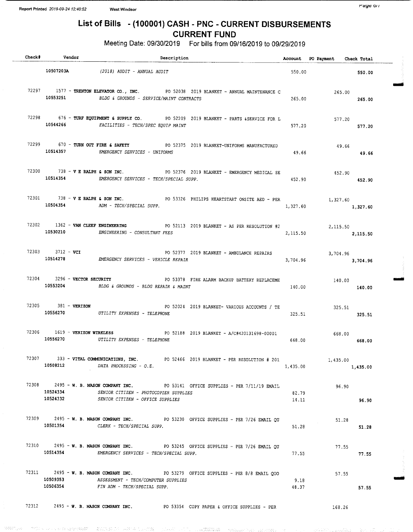### raye o $n$

## List of Bills - ( 100001) CASH - PNC - CURRENT DISBURSEMENTS CURRENT FUND

Meeting Date: 09/30/2019 For bills from 09/16/2019 to 09/29/2019

| Check# Vendor<br>Description |                                                                                                                                                                          |                | Account PO Payment Check Total |        |
|------------------------------|--------------------------------------------------------------------------------------------------------------------------------------------------------------------------|----------------|--------------------------------|--------|
|                              | 10507203A $(2018)$ AUDIT - ANNUAL AUDIT                                                                                                                                  |                |                                | 550.00 |
|                              | 72297 1577 - TRENTON ELEVATOR CO., INC. PO 52038 2019 BLANKET - ANNUAL MAINTENANCE C<br>10553251 BLDG & GROUNDS - SERVICE/MAINT CONTRACTS                                | 265.00         | 265.00                         | 265.00 |
|                              | 72298 676 - TURF EQUIPMENT & SUPPLY CO. PO 52209 2019 BLANKET - PARTS &SERVICE FOR L<br>10544266 FACILITIES - TECH/SPEC EQUIP MAINT                                      | 577,20         | 577.20<br>577.20               |        |
|                              | 72299 670 - TURN OUT FIRE & SAFETY PO 52375 2019 BLANKET-UNIFORMS MANUFACTURED<br>10514357 EMERGENCY SERVICES - UNIFORMS                                                 | 49.66          | 49.66                          | 49.66  |
|                              | 72300 738 - V E RALPH & SON INC. PO 52376 2019 BLANKET - EMERGENCY MEDICAL SE<br>10514354 EMERGENCY SERVICES - TECH/SPECIAL SUPP.                                        | 452.90         | 452.90<br>452.90               |        |
|                              | 72301 738 - <b>V E RALPH &amp; SON INC.</b> PO 53326 PHILIPS HEARTSTART ONSITE AED - PER 1,327.60<br>10504354 ADM - TECH/SPECIAL SUPP.                                   | 1,327.60       | 1,327,60                       |        |
|                              | 72302 1362 - VAN CLEEF ENGINEERING PO 52113 2019 BLANKET - AS PER RESOLUTION #2<br>10530210 ENGINEERING - CONSULTANT FEES                                                | 2,115.50       | 2,115.50<br>2,115.50           |        |
| 72303 3712 - VCI             | PO 52377 2019 BLANKET - AMBULANCE REPAIRS<br>10514278 EMERGENCY SERVICES - VEHICLE REPAIR                                                                                | 3,704.96       | $3,704.96$<br>$3,704.96$       |        |
|                              | 72304 3296 - VECTOR SECURITY THE PO 53378 FIRE ALARM BACKUP BATTERY REPLACEME<br>10553204 BLDG & GROUNDS - BLDG REPAIR & MAINT                                           | 140.00         | 140.00                         | 140.00 |
| 72305 381 - VERIZON          | PO 52024 2019 BLANKET- VARIOUS ACCOUNTS / TE<br>10556270 UTILITY EXPENSES - TELEPHONE                                                                                    | 325.51         | 325.51                         | 325.51 |
|                              | 72306 1619 - VERIZON WIRELESS 60 100 1208 2019 BLANKET - A/C#420131698-00001<br>10556270 UTILITY EXPENSES - TELEPHONE                                                    | 668.00         | 668.00                         | 668.00 |
|                              | 72307 333 - VITAL COMMUNICATIONS, INC. PO 52466 2019 BLANKET - PER RESOLUTION # 201<br>10508212 DATA PROCESSING - O.E.                                                   | 1,435.00       | 1,435.00<br>1,435,00           |        |
| 10524334                     | 72308 2495 - W. B. MASON COMPANY INC. PO 53141 OFFICE SUPPLIES - PER 7/11/19 EMAIL<br>SENIOR CITIZEN - PHOTOCOPIER SUPPLIES<br>10524332 SENIOR CITIZEN - OFFICE SUPPLIES | 82.79<br>14.11 | 96.90                          | 96.90  |
|                              | 72309 2495 - W. B. MASON COMPANY INC. PO 53230 OFFICE SUPPLIES - PER 7/26 EMAIL QU<br>10501354 CLERK - TECH/SPECIAL SUPP.                                                | 51.28          | 51.28                          | 51.28  |
|                              | 72310 2495 - W. B. MASON COMPANY INC. PO 53245 OFFICE SUPPLIES - PER 7/26 EMAIL QU<br>10514354 EMERGENCY SERVICES - TECH/SPECIAL SUPP.                                   | 77.55          | 77.55                          | 77.55  |
| 10509353<br>10506354         | 72311 2495 - W. B. MASON COMPANY INC. PO 53279 OFFICE SUPPLIES - PER 8/8 EMAIL QUO<br>ASSESSMENT - TECH/COMPUTER SUPPLIES<br>FIN ADM - TECH/SPECIAL SUPP.                | 9.18<br>48.37  | 57.55                          | 57.55  |
|                              | 72312 2495 - W. B. MASON COMPANY INC. PO 53354 COPY PAPER & OFFICE SUPPLIES - PER                                                                                        |                | 168.26                         |        |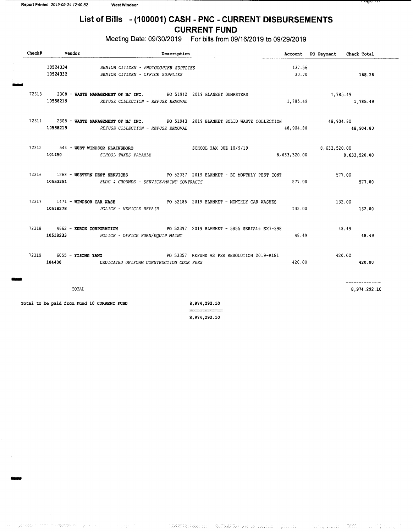## List of Bills - (100001) CASH - PNC - CURRENT DISBURSEMENTS CURRENT FUND

Meeting Date: 09/30/2019 For bills from 09/16/2019 to 09/29/2019

| $Check$ # | <b>Vendor</b><br>Description |                                                                                                                                      |                 | Account PO Payment Check Total |  |
|-----------|------------------------------|--------------------------------------------------------------------------------------------------------------------------------------|-----------------|--------------------------------|--|
|           |                              | 10524334 SENIOR CITIZEN - PHOTOCOPIER SUPPLIES<br>10524332 SENIOR CITIZEN - OFFICE SUPPLIES                                          | 137.56<br>30.70 | 168.26                         |  |
|           |                              | 72313 2308 - WASTE MANAGEMENT OF NJ INC. PO 51942 2019 BLANKET DUMPSTERS<br>10558219 REFUSE COLLECTION - REFUSE REMOVAL              | 1,785.49        | 1,785.49<br>1,785.49           |  |
|           |                              | 72314 2308 - WASTE MANAGEMENT OF NJ INC. PO 51943 2019 BLANKET SOLID WASTE COLLECTION<br>10558219 REFUSE COLLECTION - REFUSE REMOVAL | 48,904.80       | 48,904.80<br>48,904.80         |  |
|           |                              | 72315 544 - WEST WINDSOR PLAINSBORO SCHOOL TAX DUE 10/9/19<br>101450 SCHOOL TAXES PAYABLE                                            | 8,633,520.00    | 8,633,520.00<br>8,633,520.00   |  |
|           |                              | 72316 1268 - WESTERN PEST SERVICES PO 52037 2019 BLANKET - BI MONTHLY PEST CONT<br>10553251 BLDG & GROUNDS - SERVICE/MAINT CONTRACTS | 577.00          | 577.00<br>577.00               |  |
|           |                              | 72317 1471 - WINDSOR CAR WASH PO 52186 2019 BLANKET - MONTHLY CAR WASHES<br>10518278 POLICE - VEHICLE REPAIR                         | 132.00          | 132.00<br>132.00               |  |
|           |                              | 72318 4662 - XEROX CORPORATION PO 52397 2019 BLANKET - 5855 SERIAL# EX7-398<br>10518233 POLICE - OFFICE FURN/EQUIP MAINT             | 48.49           | 48.49<br>48.49                 |  |
|           |                              | 72319 6055 - YISONG YANG TERRY STATE RESOLUTION 2019-R181<br>104400 DEDICATED UNIFORM CONSTRUCTION CODE FEES                         | 420.00          | 420.00<br>420.00               |  |
|           | TOTAL                        |                                                                                                                                      |                 | --------------<br>8,974,292.10 |  |

Total to be paid from Fund 10 CURRENT FUND 8,974, 292.10

8, 974, 292. 10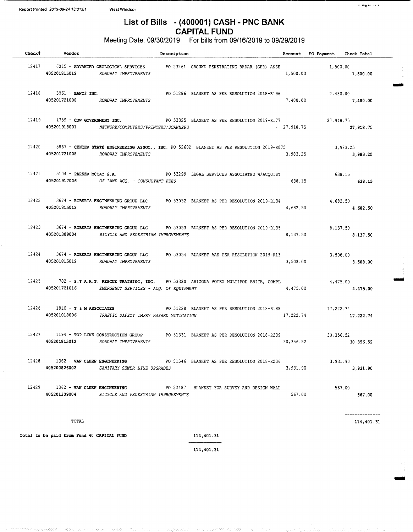## List of Bills - (400001) CASH - PNC BANK CAPITAL FUND

Meeting Date: 09/30/2019 For bills from 09/16/2019 to 09/29/2019

| Check# | Vendor                                             |                                                              | Description |                                                                                                 |            | Account PO Payment Check Total |                        |
|--------|----------------------------------------------------|--------------------------------------------------------------|-------------|-------------------------------------------------------------------------------------------------|------------|--------------------------------|------------------------|
|        |                                                    | 405201815012 ROADWAY IMPROVEMENTS                            |             | 12417 6015 - ADVANCED GEOLOGICAL SERVICES PO 53261 GROUND PENETRATING RADAR (GPR) ASSE          | 1,500.00   | 1,500.00                       | 1,500.00               |
|        | $12418$ $3061 -$ BANC3 INC.                        | 405201721008 ROADWAY IMPROVEMENTS                            |             | PO 51286 BLANKET AS PER RESOLUTION 2018-R196 7,480.00                                           |            | 7,480.00 7,480.00              |                        |
|        |                                                    | 405201918001 NETWORK/COMPUTERS/PRINTERS/SCANNERS             |             | 12419 1759 - CDW GOVERNMENT INC. PO 53325 BLANKET AS PER RESOLUTION 2019-R177                   | 27,918.75  |                                | 27,918.75<br>27,918.75 |
|        |                                                    | 405201721008 ROADWAY IMPROVEMENTS                            |             | 12420 5867 - CENTER STATE ENGINEERING ASSOC., INC. PO 52602 BLANKET AS PER RESOLUTION 2019-R075 | 3,983.25   |                                | 3,983.25<br>3,983.25   |
|        | 12421 5104 - PARKER MCCAY P.A.                     | 405201917006 OS LAND ACQ. - CONSULTANT FEES                  |             | PO 53299 LEGAL SERVICES ASSOCIATED W/ACQUIST                                                    | 638.15     |                                | 638.15<br>638.15       |
|        |                                                    | 405201815012 ROADWAY IMPROVEMENTS                            |             | 12422 3674 - ROBERTS ENGINEERING GROUP LLC PO 53052 BLANKET AS PER RESOLUTION 2019-R134         | 4,682.50   |                                | 4,682.50<br>4,682.50   |
|        |                                                    | 405201309004 BICYCLE AND PEDESTRIAN IMPROVEMENTS             |             | 12423 3674 - ROBERTS ENGINEERING GROUP LLC PO 53053 BLANKET AS PER RESOLUTION 2019-R135         | 8,137.50   |                                | 8,137.50<br>8,137.50   |
|        |                                                    | 405201815012 ROADWAY IMPROVEMENTS                            |             | 12424 3674 - ROBERTS ENGINEERING GROUP LLC PO 53054 BLANKET AAS PER RESOLUTION 2019-R13         | 3,508.00   |                                | 3,508.00<br>3,508.00   |
|        |                                                    | 405201721016 EMERGENCY SERVICES - ACQ. OF EQUIPMENT          |             | 12425 702 - S.T.A.R.T. RESCUE TRAINING, INC. PO 53320 ARIZONA VOTEX MULTIPOD BRITE, COMPL       | 4,475.00   |                                | 4,475.00<br>4,475.00   |
|        | 12426 1810 - T & M ASSOCIATES                      | 405201018006 TRAFFIC SAFETY IMPRV HAZARD MITIGATION          |             | PO 51228 BLANKET AS PER RESOLUTION 2018-R188                                                    | 17,222.74  |                                | 17,222.74<br>17,222.74 |
|        | 12427 1194 - TOP LINE CONSTRUCTION GROUP           | 405201815012 ROADWAY IMPROVEMENTS                            |             | PO 51331 BLANKET AS PER RESOLUTION 2018-R209                                                    | 30, 356.52 |                                | 30,356.52<br>30,356.52 |
| 12428  | 405200826002                                       | 1362 - VAN CLEEF ENGINEERING<br>SANITARY SEWER LINE UPGRADES |             | PO 51546 BLANKET AS PER RESOLUTION 2018-R236                                                    | 3,931.90   | 3,931.90                       | 3,931.90               |
|        | 12429 1362 - VAN CLEEF ENGINEERING<br>405201309004 | BICYCLE AND PEDESTRIAN IMPROVEMENTS                          |             | PO 52487 BLANKET FOR SURVEY AND DESIGN WALL                                                     | 567.00     |                                | 567.00<br>567.00       |

 $\blacksquare$  114,401.31  $\blacksquare$  114,401.31  $\blacksquare$ 

ONiO

 $n$  ayo  $n$   $\alpha$ 

MO

Total to be paid from Fund 40 CAPITAL FUND 114, 401.31

114, 401. 31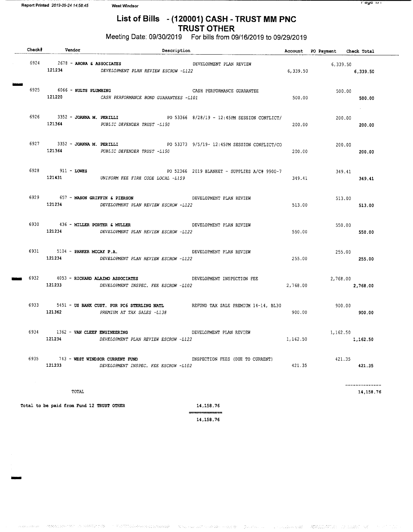## List of Bills - ( 120001) CASH - TRUST MM PNC TRUST OTHER

Meeting Date: 09/30/2019 For bills from 09/16/2019 to 09/29/2019

| Check# Vendor                                  | Description                                                                                                       |                                              |          | Account PO Payment Check Total |                            |
|------------------------------------------------|-------------------------------------------------------------------------------------------------------------------|----------------------------------------------|----------|--------------------------------|----------------------------|
| $6924$ 2678 - ARORA & ASSOCIATES               | 121234 DEVELOPMENT PLAN REVIEW ESCROW -L122                                                                       | DEVELOPMENT PLAN REVIEW                      |          | 6,339.50<br>6,339.50 6,339.50  |                            |
| $6925$ $6066 - HULTS$ PLUMBING<br>121220       | CASH PERFORMANCE BOND GUARANTEES -L101                                                                            | CASH PERFORMANCE GUARANTEE                   | 500.00   | 500.00                         | 500.00                     |
|                                                | 6926 3352 - JOANNA M. PERILLI PO 53366 8/28/19 - 12:45PM SESSION CONFLICT/<br>121364 PUBLIC DEFENDER TRUST -L150  |                                              | 200.00   | 200.00                         | and a state of<br>200.00   |
|                                                | 6927 3352 - JOANNA M. PERILLI PO 53373 9/5/19-12:45PM SESSION CONFLICT/CO<br>121364 PUBLIC DEFENDER TRUST -L150   |                                              | 200.00   | 200.00                         | 200,00                     |
| 6928 911 - LOWES                               | 121431 UNIFORM FEE FIRE CODE LOCAL -L159                                                                          | PO 52366 2019 BLANKET - SUPPLIES A/C# 9900-7 | 349.41   | 349.41                         | 349.41                     |
| 121234                                         | 6929 657 - MASON GRIFFIN & PIERSON DEVELOPMENT PLAN REVIEW<br>DEVELOPMENT PLAN REVIEW ESCROW -L122                |                                              | 513.00   |                                | 513.00<br>513.00           |
| 6930 436 - MILLER PORTER & MULLER              | 121234 DEVELOPMENT PLAN REVIEW ESCROW -L122                                                                       | DEVELOPMENT PLAN REVIEW                      | 550.00   | 550.00                         | 550.00                     |
| 6931 5104 - PARKER MCCAY P.A.<br>121234        | DEVELOPMENT PLAN REVIEW ESCROW -L122                                                                              | DEVELOPMENT PLAN REVIEW                      | 255.00   | 255.00<br>255.00               |                            |
| 121233                                         | 6932 4053 - RICHARD ALAIMO ASSOCIATES DEVELOPMENT INSPECTION FEE<br>DEVELOPMENT INSPEC. FEE ESCROW -L102          |                                              | 2,768.00 | 2,768.00                       | 2,768.00                   |
| 121362                                         | 6933 5451 - US BANK CUST. FOR PC6 STERLING NATL REFUND TAX SALE PREMIUM 14-14, BL30<br>PREMIUM AT TAX SALES -L138 |                                              | 900.00   | 900.00                         | 900.00                     |
| 6934 1362 - VAN CLEEF ENGINEERING              | 121234 DEVELOPMENT PLAN REVIEW ESCROW -L122                                                                       | DEVELOPMENT PLAN REVIEW                      | 1,162.50 | 1,162.50<br>1,162.50           |                            |
| 6935 743 - WEST WINDSOR CURRENT FUND<br>121233 | DEVELOPMENT INSPEC. FEE ESCROW -L102                                                                              | INSPECTION FEES (DUE TO CURRENT)             | 421.35   | 421.35                         | 421.35                     |
| TOTAL                                          |                                                                                                                   |                                              |          |                                | -----------<br>14, 158, 76 |

Total to be paid from Fund 12 TRUST OTHER 14, 158.76

14, 158. 76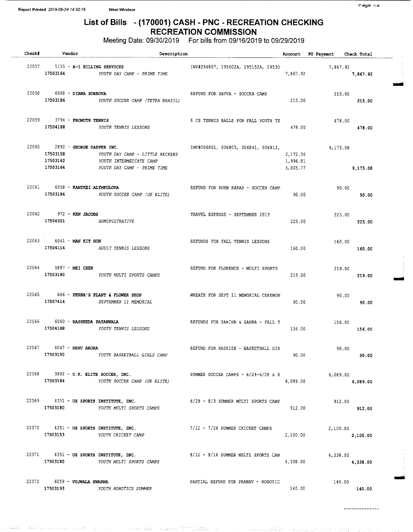## List of Bills - ( 170001) CASH - PNC - RECREATION CHECKING RECREATION COMMISSION

Meeting Date: 09/30/2019 For bills from 09/16/2019 to 09/29/2019

| Check# | Vendor                                                      | Description                                                                                        |                                     |                                  | Account PO Payment Check Total |          |
|--------|-------------------------------------------------------------|----------------------------------------------------------------------------------------------------|-------------------------------------|----------------------------------|--------------------------------|----------|
|        |                                                             | 22057 5155 - A-1 BILLING SERVICES<br>17503164 YOUTH DAY CAMP - PRIME TIME                          | INV#294807, 295002A, 295152A, 29530 | 7,867.92                         | 7,867.92                       | 7,867.92 |
|        | 22058 6068 - DIANA SURKOVA                                  | 17503186 YOUTH SOCCER CAMP (TETRA BRAZIL)                                                          | REFUND FOR SAVVA - SOCCER CAMP      | 215.00                           | 215.00                         | 215.00   |
|        | 22059 3794 - FROMUTH TENNIS                                 | 17504188 YOUTH TENNIS LESSONS                                                                      | 8 CS TENNIS BALLS FOR FALL YOUTH TE | 478.00                           | 478.00<br>478.00               |          |
|        | $22060$ $2892 - GEORGE DAPPER INC.$<br>17503158<br>17503162 | YOUTH DAY CAMP - LITTLE RECKERS<br>YOUTH INTERMEDIATE CAMP<br>17503164 YOUTH DAY CAMP - PRIME TIME | INV#006801, 006805, 006841, 006812, | 2,172.50<br>1,996.81<br>5,005.77 | 9,175.08                       | 9,175.08 |
|        | 22061 6058 - KANYKEI ALYMKULOVA                             | 17503184 YOUTH SOCCER CAMP (UK ELITE)                                                              | REFUND FOR ADEM KARAS - SOCCER CAMP | 90.00                            | 90.00                          | 90.00    |
|        | 22062 972 - KEN JACOBS                                      | 17506301 ADMINISTRATIVE                                                                            | TRAVEL EXPENSE - SEPTEMBER 2019     | 225.00                           | 225.00                         | 225.00   |
| 22063  | $6061$ - MAN KIT HON                                        | 17504114 ADULT TENNIS LESSONS                                                                      | REFUNDS FOR FALL TENNIS LESSONS     | 160.00                           | 160.00                         | 160.00   |
|        | 22064 5887 - MEI CHEN                                       | 17503180 YOUTH MULTI SPORTS CAMPS                                                                  | REFUND FOR FLORENCE - MULTI SPORTS  | 219.00                           | 219.00                         | 219.00   |
|        |                                                             | 22065 666 - PERNA'S PLANT & FLOWER SHOP<br>17507414 SEPTEMBER 11 MEMORIAL                          | WREATH FOR SEPT 11 MEMORIAL CEREMON | 90.00                            | 90.00                          | 90.00    |
|        | 22066 6060 - RASHEEDA PATANWALA                             | 17504188 YOUTH TENNIS LESSONS                                                                      | REFUNDS FOR SAMINA & ZAHRA - FALL T | 156.00                           | 156.00                         | 156.00   |
| 22067  | 6067 - RENU ARORA<br>17503150                               | YOUTH BASKETBALL GIRLS CAMP                                                                        | REFUND FOR KASHISH - BASKETBALL GIR | 90.00                            | 90.00                          | 90.00    |
|        |                                                             | 22068 3992 - U.K. ELITE SOCCER, INC.<br>17503184 YOUTH SOCCER CAMP (UK ELITE)                      | SUMMER SOCCER CAMPS - 6/24-6/28 & 8 | 6,089.00                         | 6,089.00<br>6,089.00           |          |
|        |                                                             | 22069 4351 - US SPORTS INSTITUTE, INC.<br>17503180 YOUTH MULTI SPORTS CAMPS                        | 6/29 - 8/3 SUMMER MULTI SPORTS CAMP | 912.00                           | 912.00                         | 912.00   |
|        |                                                             | 22070 4351 - US SPORTS INSTITUTE, INC.<br>17503153 YOUTH CRICKET CAMP                              | 7/22 - 7/26 SUMMER CRICKET CAMPS    | 2,100.00                         | 2,100.00                       | 2,100.00 |
|        |                                                             | 22071 4351 - US SPORTS INSTITUTE, INC.<br>17503180 YOUTH MULTI SPORTS CAMPS                        | 8/12 - 8/16 SUMMER MULTI SPORTS CAM | 4,338.00                         | 4,338.00<br>4,338.00           |          |
|        | 22072 6059 - VUJWALA SWARNA                                 | 17503193 YOUTH ROBOTICS SUMMER                                                                     | PARTIAL REFUND FOR PRANAV - ROBOTIC | 140.00                           | 140.00                         | 140.00   |

 $r$ aye 114

awl

nog

Mil

--------------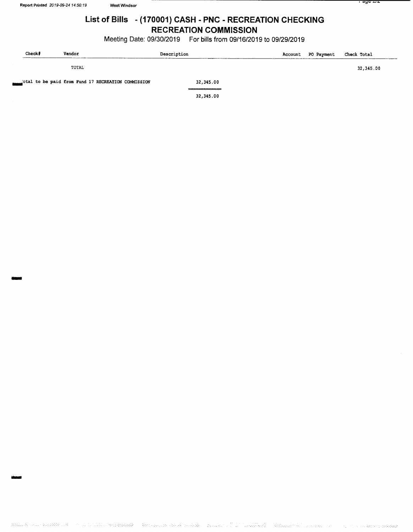## List of Bills - ( 170001) CASH - PNC - RECREATION CHECKING RECREATION COMMISSION

Meeting Date: 09/30/2019 For bills from 09/16/2019 to 09/29/2019

| Check# | Vendor                                            | Description | Account | <b>PO Payment</b> | Check Total |
|--------|---------------------------------------------------|-------------|---------|-------------------|-------------|
|        | TOTAL                                             |             |         |                   | 32,345.00   |
|        | tal to be paid from Fund 17 RECREATION COMMISSION | 32,345.00   |         |                   |             |

32, 345. 00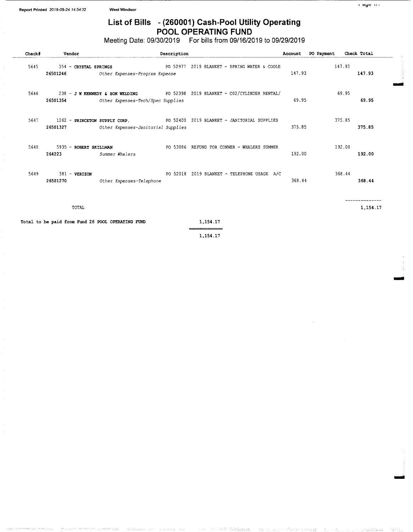## List of Bills - (260001) Cash-Pool Utility Operating POOL OPERATING FUND

Meeting Date: 09/30/2019 For bills from 09/16/2019 to 09/29/2019

| Check# | Vendor                                            |                                                                     | Description |                                                                              | Account | PO Payment | Check Total |
|--------|---------------------------------------------------|---------------------------------------------------------------------|-------------|------------------------------------------------------------------------------|---------|------------|-------------|
| 5645   | 354 - CRYSTAL SPRINGS<br>26501246                 | Other Expenses-Program Expense                                      |             | PO 52977 2019 BLANKET - SPRING WATER & COOLE                                 | 147.93  | 147.93     | 147.93      |
| 5646   | 26501354                                          | Other Expenses-Tech/Spec Supplies                                   |             | 238 - J W KENNEDY & SON WELDING PO 52398 2019 BLANKET - C02/CYLINDER RENTAL/ | 69.95   | 69.95      | 69.95       |
| 5647   | 26501327                                          | 1262 - PRINCETON SUPPLY CORP.<br>Other Expenses-Janitorial Supplies |             | PO 52400 2019 BLANKET - JANITORIAL SUPPLIES                                  | 375.85  | 375.85     | 375.85      |
| 5648   | 5935 - ROBERT SKILLMAN<br>264223                  | Summer Whalers                                                      |             | PO 53086 REFUND FOR CONNER - WHALERS SUMMER                                  | 192.00  | 192.00     | 192.00      |
| 5649   | $381 - VERTZON$<br>26501270                       | Other Expenses-Telephone                                            |             | PO 52018 2019 BLANKET - TELEPHONE USAGE A/C                                  | 368.44  | 368.44     | 368.44      |
|        | TOTAL                                             |                                                                     |             |                                                                              |         |            | 1,154.17    |
|        | Total to be paid from Fund 26 POOL OPERATING FUND |                                                                     |             | 1,154,17                                                                     |         |            |             |

1, 154. 17

tia0rl

lit ei